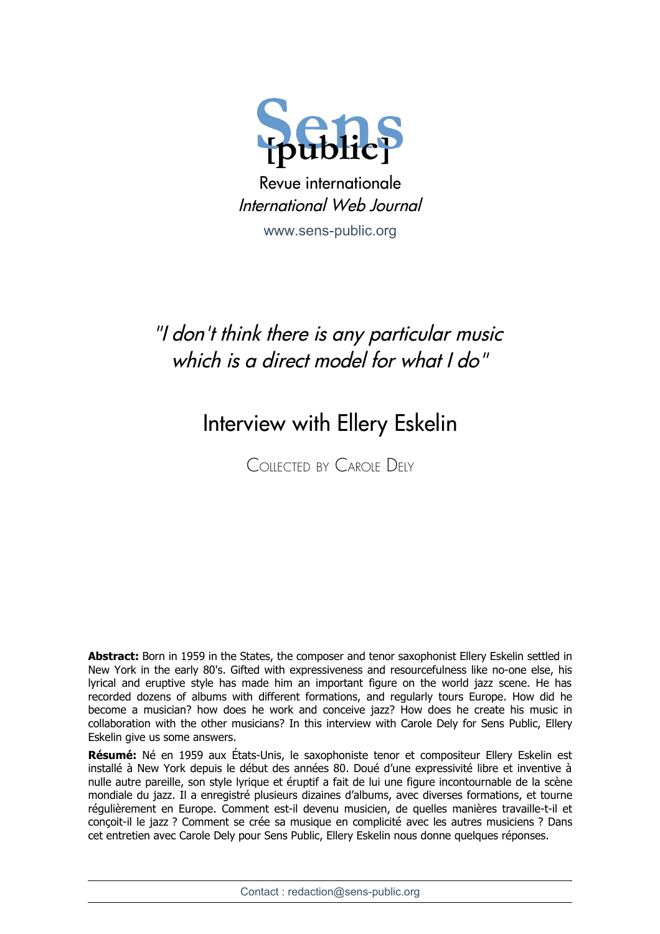

Revue internationale International Web Journal

[www.sens-public.org](http://www.sens-public.org/)

## "I don't think there is any particular music which is a direct model for what I do"

## Interview with Ellery Eskelin

COLLECTED BY CAROLE DELY

**Abstract:** Born in 1959 in the States, the composer and tenor saxophonist Ellery Eskelin settled in New York in the early 80's. Gifted with expressiveness and resourcefulness like no-one else, his lyrical and eruptive style has made him an important figure on the world jazz scene. He has recorded dozens of albums with different formations, and regularly tours Europe. How did he become a musician? how does he work and conceive jazz? How does he create his music in collaboration with the other musicians? In this interview with Carole Dely for Sens Public, Ellery Eskelin give us some answers.

**Résumé:** Né en 1959 aux États-Unis, le saxophoniste tenor et compositeur Ellery Eskelin est installé à New York depuis le début des années 80. Doué d'une expressivité libre et inventive à nulle autre pareille, son style lyrique et éruptif a fait de lui une figure incontournable de la scène mondiale du jazz. Il a enregistré plusieurs dizaines d'albums, avec diverses formations, et tourne régulièrement en Europe. Comment est-il devenu musicien, de quelles manières travaille-t-il et conçoit-il le jazz ? Comment se crée sa musique en complicité avec les autres musiciens ? Dans cet entretien avec Carole Dely pour Sens Public, Ellery Eskelin nous donne quelques réponses.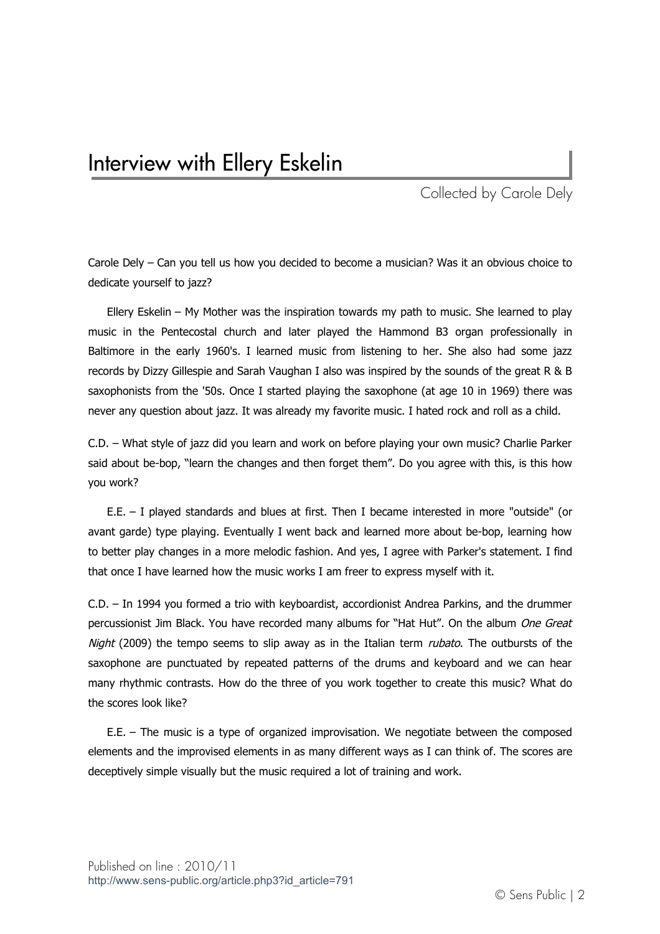## Interview with Ellery Eskelin

Collected by Carole Dely

Carole Dely – Can you tell us how you decided to become a musician? Was it an obvious choice to dedicate yourself to jazz?

Ellery Eskelin – My Mother was the inspiration towards my path to music. She learned to play music in the Pentecostal church and later played the Hammond B3 organ professionally in Baltimore in the early 1960's. I learned music from listening to her. She also had some jazz records by Dizzy Gillespie and Sarah Vaughan I also was inspired by the sounds of the great R & B saxophonists from the '50s. Once I started playing the saxophone (at age 10 in 1969) there was never any question about jazz. It was already my favorite music. I hated rock and roll as a child.

C.D. – What style of jazz did you learn and work on before playing your own music? Charlie Parker said about be-bop, "learn the changes and then forget them". Do you agree with this, is this how you work?

E.E. – I played standards and blues at first. Then I became interested in more "outside" (or avant garde) type playing. Eventually I went back and learned more about be-bop, learning how to better play changes in a more melodic fashion. And yes, I agree with Parker's statement. I find that once I have learned how the music works I am freer to express myself with it.

C.D. – In 1994 you formed a trio with keyboardist, accordionist Andrea Parkins, and the drummer percussionist Jim Black. You have recorded many albums for "Hat Hut". On the album One Great Night (2009) the tempo seems to slip away as in the Italian term *rubato*. The outbursts of the saxophone are punctuated by repeated patterns of the drums and keyboard and we can hear many rhythmic contrasts. How do the three of you work together to create this music? What do the scores look like?

E.E. – The music is a type of organized improvisation. We negotiate between the composed elements and the improvised elements in as many different ways as I can think of. The scores are deceptively simple visually but the music required a lot of training and work.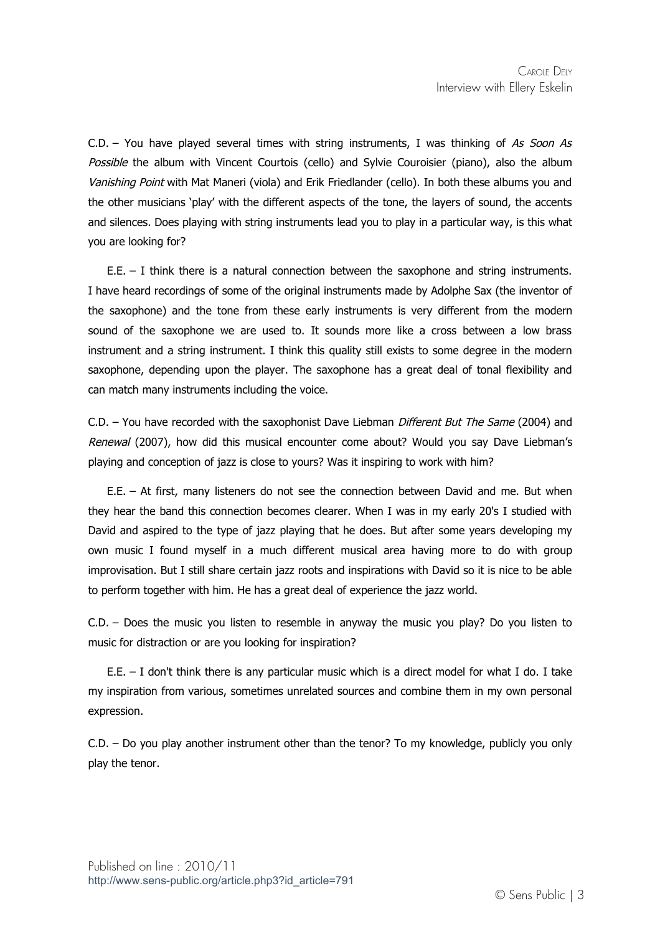$C.D.$  – You have played several times with string instruments, I was thinking of As Soon As Possible the album with Vincent Courtois (cello) and Sylvie Couroisier (piano), also the album Vanishing Point with Mat Maneri (viola) and Erik Friedlander (cello). In both these albums you and the other musicians 'play' with the different aspects of the tone, the layers of sound, the accents and silences. Does playing with string instruments lead you to play in a particular way, is this what you are looking for?

E.E. – I think there is a natural connection between the saxophone and string instruments. I have heard recordings of some of the original instruments made by Adolphe Sax (the inventor of the saxophone) and the tone from these early instruments is very different from the modern sound of the saxophone we are used to. It sounds more like a cross between a low brass instrument and a string instrument. I think this quality still exists to some degree in the modern saxophone, depending upon the player. The saxophone has a great deal of tonal flexibility and can match many instruments including the voice.

C.D. – You have recorded with the saxophonist Dave Liebman *Different But The Same* (2004) and Renewal (2007), how did this musical encounter come about? Would you say Dave Liebman's playing and conception of jazz is close to yours? Was it inspiring to work with him?

E.E. – At first, many listeners do not see the connection between David and me. But when they hear the band this connection becomes clearer. When I was in my early 20's I studied with David and aspired to the type of jazz playing that he does. But after some years developing my own music I found myself in a much different musical area having more to do with group improvisation. But I still share certain jazz roots and inspirations with David so it is nice to be able to perform together with him. He has a great deal of experience the jazz world.

C.D. – Does the music you listen to resemble in anyway the music you play? Do you listen to music for distraction or are you looking for inspiration?

E.E. – I don't think there is any particular music which is a direct model for what I do. I take my inspiration from various, sometimes unrelated sources and combine them in my own personal expression.

C.D. – Do you play another instrument other than the tenor? To my knowledge, publicly you only play the tenor.